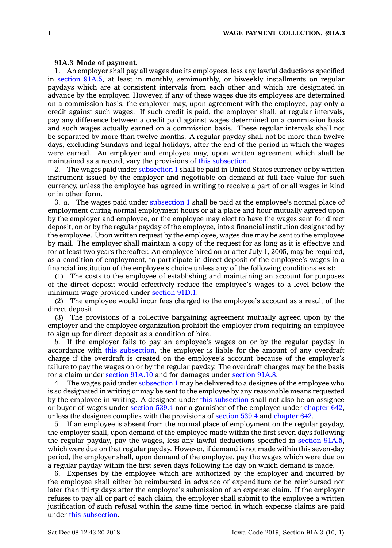## **91A.3 Mode of payment.**

1. An employer shall pay all wages due its employees, less any lawful deductions specified in [section](https://www.legis.iowa.gov/docs/code/91A.5.pdf) 91A.5, at least in monthly, semimonthly, or biweekly installments on regular paydays which are at consistent intervals from each other and which are designated in advance by the employer. However, if any of these wages due its employees are determined on <sup>a</sup> commission basis, the employer may, upon agreement with the employee, pay only <sup>a</sup> credit against such wages. If such credit is paid, the employer shall, at regular intervals, pay any difference between <sup>a</sup> credit paid against wages determined on <sup>a</sup> commission basis and such wages actually earned on <sup>a</sup> commission basis. These regular intervals shall not be separated by more than twelve months. A regular payday shall not be more than twelve days, excluding Sundays and legal holidays, after the end of the period in which the wages were earned. An employer and employee may, upon written agreement which shall be maintained as <sup>a</sup> record, vary the provisions of this [subsection](https://www.legis.iowa.gov/docs/code/91A.3.pdf).

2. The wages paid under [subsection](https://www.legis.iowa.gov/docs/code/91A.3.pdf) 1 shall be paid in United States currency or by written instrument issued by the employer and negotiable on demand at full face value for such currency, unless the employee has agreed in writing to receive <sup>a</sup> part of or all wages in kind or in other form.

3. *a.* The wages paid under [subsection](https://www.legis.iowa.gov/docs/code/91A.3.pdf) 1 shall be paid at the employee's normal place of employment during normal employment hours or at <sup>a</sup> place and hour mutually agreed upon by the employer and employee, or the employee may elect to have the wages sent for direct deposit, on or by the regular payday of the employee, into <sup>a</sup> financial institution designated by the employee. Upon written request by the employee, wages due may be sent to the employee by mail. The employer shall maintain <sup>a</sup> copy of the request for as long as it is effective and for at least two years thereafter. An employee hired on or after July 1, 2005, may be required, as <sup>a</sup> condition of employment, to participate in direct deposit of the employee's wages in <sup>a</sup> financial institution of the employee's choice unless any of the following conditions exist:

(1) The costs to the employee of establishing and maintaining an account for purposes of the direct deposit would effectively reduce the employee's wages to <sup>a</sup> level below the minimum wage provided under [section](https://www.legis.iowa.gov/docs/code/91D.1.pdf) 91D.1.

(2) The employee would incur fees charged to the employee's account as <sup>a</sup> result of the direct deposit.

(3) The provisions of <sup>a</sup> collective bargaining agreement mutually agreed upon by the employer and the employee organization prohibit the employer from requiring an employee to sign up for direct deposit as <sup>a</sup> condition of hire.

*b.* If the employer fails to pay an employee's wages on or by the regular payday in accordance with this [subsection](https://www.legis.iowa.gov/docs/code/91A.3.pdf), the employer is liable for the amount of any overdraft charge if the overdraft is created on the employee's account because of the employer's failure to pay the wages on or by the regular payday. The overdraft charges may be the basis for <sup>a</sup> claim under [section](https://www.legis.iowa.gov/docs/code/91A.10.pdf) 91A.10 and for damages under [section](https://www.legis.iowa.gov/docs/code/91A.8.pdf) 91A.8.

4. The wages paid under [subsection](https://www.legis.iowa.gov/docs/code/91A.3.pdf) 1 may be delivered to <sup>a</sup> designee of the employee who is so designated in writing or may be sent to the employee by any reasonable means requested by the employee in writing. A designee under this [subsection](https://www.legis.iowa.gov/docs/code/91A.3.pdf) shall not also be an assignee or buyer of wages under [section](https://www.legis.iowa.gov/docs/code/539.4.pdf) 539.4 nor <sup>a</sup> garnisher of the employee under [chapter](https://www.legis.iowa.gov/docs/code//642.pdf) 642, unless the designee complies with the provisions of [section](https://www.legis.iowa.gov/docs/code/539.4.pdf) 539.4 and [chapter](https://www.legis.iowa.gov/docs/code//642.pdf) 642.

5. If an employee is absent from the normal place of employment on the regular payday, the employer shall, upon demand of the employee made within the first seven days following the regular payday, pay the wages, less any lawful deductions specified in [section](https://www.legis.iowa.gov/docs/code/91A.5.pdf) 91A.5, which were due on that regular payday. However, if demand is not made within this seven-day period, the employer shall, upon demand of the employee, pay the wages which were due on <sup>a</sup> regular payday within the first seven days following the day on which demand is made.

6. Expenses by the employee which are authorized by the employer and incurred by the employee shall either be reimbursed in advance of expenditure or be reimbursed not later than thirty days after the employee's submission of an expense claim. If the employer refuses to pay all or part of each claim, the employer shall submit to the employee <sup>a</sup> written justification of such refusal within the same time period in which expense claims are paid under this [subsection](https://www.legis.iowa.gov/docs/code/91A.3.pdf).